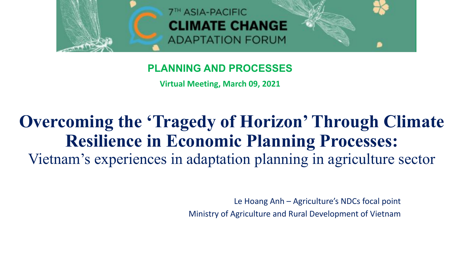

#### **PLANNING AND PROCESSES**

**Virtual Meeting, March 09, 2021**

## **Overcoming the 'Tragedy of Horizon' Through Climate Resilience in Economic Planning Processes:** Vietnam's experiences in adaptation planning in agriculture sector

Le Hoang Anh – Agriculture's NDCs focal point Ministry of Agriculture and Rural Development of Vietnam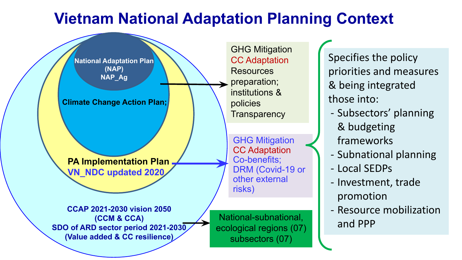### **Vietnam National Adaptation Planning Context**



Specifies the policy priorities and measures & being integrated those into:

- Subsectors' planning & budgeting frameworks
- Subnational planning
- Local SEDPs
- Investment, trade promotion
- Resource mobilization and PPP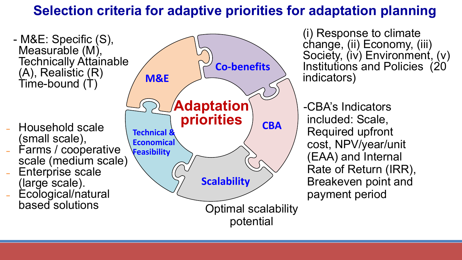#### **Selection criteria for adaptive priorities for adaptation planning**

- M&E: Specific (S), Measurable (M), Technically Attainable (A), Realistic (R) Time-bound (T)

- ˗ Household scale (small scale),
- ˗ Farms / cooperative scale (medium scale)
- Enterprise scale (large scale).
- ˗ Ecological/natural based solutions



(i) Response to climate change, (ii) Economy, (iii) Society, (iv) Environment, (v) Institutions and Policies (20 indicators)

-CBA's Indicators included: Scale, Required upfront cost, NPV/year/unit (EAA) and Internal Rate of Return (IRR), Breakeven point and payment period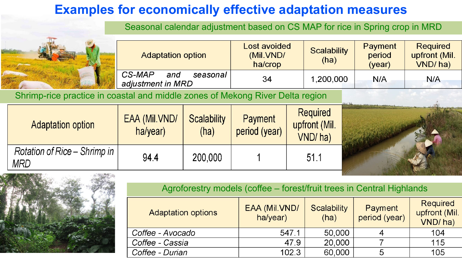#### **Examples for economically effective adaptation measures**

Seasonal calendar adjustment based on CS MAP for rice in Spring crop in MRD

|  | <b>Adaptation option</b>                       | Lost avoided<br>(Mil.VND/<br>ha/crop | <b>Scalability</b><br>(ha) | Payment<br>period<br>(vear) | <b>Required</b><br>upfront (Mil.<br>VND/ha) |
|--|------------------------------------------------|--------------------------------------|----------------------------|-----------------------------|---------------------------------------------|
|  | CS-MAP<br>and<br>seasonal<br>adjustment in MRD | 34                                   | ,200,000                   | N/A                         | N/A                                         |

Shrimp-rice practice in coastal and middle zones of Mekong River Delta region

| <b>Adaptation option</b>            | EAA (Mil.VND/<br>ha/year) | <b>Scalability</b><br>(ha) | <b>Payment</b><br>period (year) | <b>Required</b><br>upfront (Mil.<br>VND/ha) |  |
|-------------------------------------|---------------------------|----------------------------|---------------------------------|---------------------------------------------|--|
| Rotation of Rice – Shrimp in<br>MRD | 94.4                      | 200,000                    |                                 | 51.1                                        |  |



Agroforestry models (coffee – forest/fruit trees in Central Highlands

| <b>Adaptation options</b> | EAA (Mil.VND/<br>ha/year) | Scalability<br>(ha) | Payment<br>period (year) | <b>Required</b><br>upfront (Mil.<br>VND/ha) |
|---------------------------|---------------------------|---------------------|--------------------------|---------------------------------------------|
| Coffee - Avocado          | 547.1                     | 50,000              |                          | 104                                         |
| Coffee - Cassia           | 47.9                      | 20,000              |                          | 115                                         |
| Coffee - Durian           | 102.3                     | 60,000              | 5                        | 105                                         |